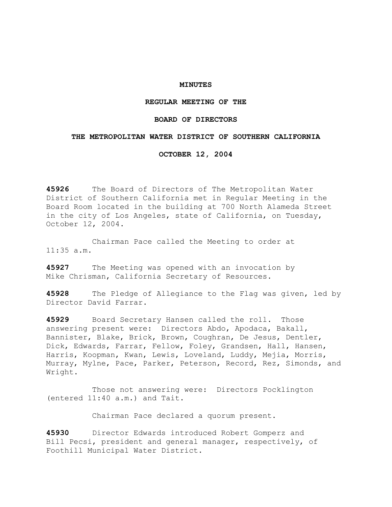## **MINUTES**

## **REGULAR MEETING OF THE**

## **BOARD OF DIRECTORS**

## **THE METROPOLITAN WATER DISTRICT OF SOUTHERN CALIFORNIA**

**OCTOBER 12, 2004** 

**45926** The Board of Directors of The Metropolitan Water District of Southern California met in Regular Meeting in the Board Room located in the building at 700 North Alameda Street in the city of Los Angeles, state of California, on Tuesday, October 12, 2004.

 Chairman Pace called the Meeting to order at 11:35 a.m.

**45927** The Meeting was opened with an invocation by Mike Chrisman, California Secretary of Resources.

**45928** The Pledge of Allegiance to the Flag was given, led by Director David Farrar.

**45929** Board Secretary Hansen called the roll. Those answering present were: Directors Abdo, Apodaca, Bakall, Bannister, Blake, Brick, Brown, Coughran, De Jesus, Dentler, Dick, Edwards, Farrar, Fellow, Foley, Grandsen, Hall, Hansen, Harris, Koopman, Kwan, Lewis, Loveland, Luddy, Mejia, Morris, Murray, Mylne, Pace, Parker, Peterson, Record, Rez, Simonds, and Wright.

 Those not answering were: Directors Pocklington (entered 11:40 a.m.) and Tait.

Chairman Pace declared a quorum present.

**45930** Director Edwards introduced Robert Gomperz and Bill Pecsi, president and general manager, respectively, of Foothill Municipal Water District.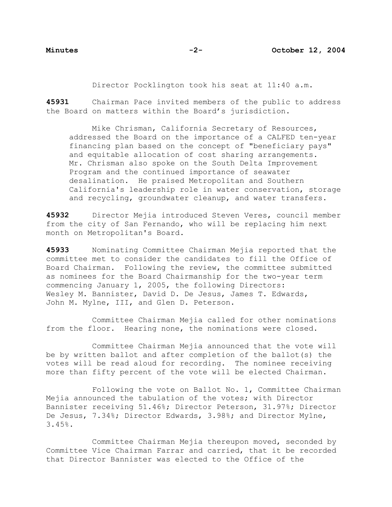Director Pocklington took his seat at 11:40 a.m.

**45931** Chairman Pace invited members of the public to address the Board on matters within the Board's jurisdiction.

 Mike Chrisman, California Secretary of Resources, addressed the Board on the importance of a CALFED ten-year financing plan based on the concept of "beneficiary pays" and equitable allocation of cost sharing arrangements. Mr. Chrisman also spoke on the South Delta Improvement Program and the continued importance of seawater desalination. He praised Metropolitan and Southern California's leadership role in water conservation, storage and recycling, groundwater cleanup, and water transfers.

**45932** Director Mejia introduced Steven Veres, council member from the city of San Fernando, who will be replacing him next month on Metropolitan's Board.

**45933** Nominating Committee Chairman Mejia reported that the committee met to consider the candidates to fill the Office of Board Chairman. Following the review, the committee submitted as nominees for the Board Chairmanship for the two-year term commencing January 1, 2005, the following Directors: Wesley M. Bannister, David D. De Jesus, James T. Edwards, John M. Mylne, III, and Glen D. Peterson.

 Committee Chairman Mejia called for other nominations from the floor. Hearing none, the nominations were closed.

 Committee Chairman Mejia announced that the vote will be by written ballot and after completion of the ballot(s) the votes will be read aloud for recording. The nominee receiving more than fifty percent of the vote will be elected Chairman.

 Following the vote on Ballot No. 1, Committee Chairman Mejia announced the tabulation of the votes; with Director Bannister receiving 51.46%; Director Peterson, 31.97%; Director De Jesus, 7.34%; Director Edwards, 3.98%; and Director Mylne, 3.45%.

 Committee Chairman Mejia thereupon moved, seconded by Committee Vice Chairman Farrar and carried, that it be recorded that Director Bannister was elected to the Office of the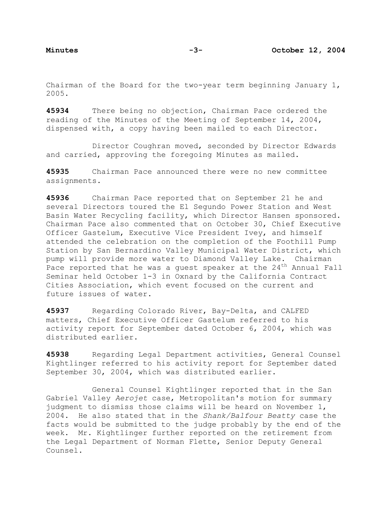Chairman of the Board for the two-year term beginning January 1, 2005.

**45934** There being no objection, Chairman Pace ordered the reading of the Minutes of the Meeting of September 14, 2004, dispensed with, a copy having been mailed to each Director.

 Director Coughran moved, seconded by Director Edwards and carried, approving the foregoing Minutes as mailed.

**45935** Chairman Pace announced there were no new committee assignments.

**45936** Chairman Pace reported that on September 21 he and several Directors toured the El Segundo Power Station and West Basin Water Recycling facility, which Director Hansen sponsored. Chairman Pace also commented that on October 30, Chief Executive Officer Gastelum, Executive Vice President Ivey, and himself attended the celebration on the completion of the Foothill Pump Station by San Bernardino Valley Municipal Water District, which pump will provide more water to Diamond Valley Lake. Chairman Pace reported that he was a quest speaker at the  $24<sup>th</sup>$  Annual Fall Seminar held October 1-3 in Oxnard by the California Contract Cities Association, which event focused on the current and future issues of water.

**45937** Regarding Colorado River, Bay-Delta, and CALFED matters, Chief Executive Officer Gastelum referred to his activity report for September dated October 6, 2004, which was distributed earlier.

**45938** Regarding Legal Department activities, General Counsel Kightlinger referred to his activity report for September dated September 30, 2004, which was distributed earlier.

 General Counsel Kightlinger reported that in the San Gabriel Valley *Aerojet* case, Metropolitan's motion for summary judgment to dismiss those claims will be heard on November 1, 2004. He also stated that in the *Shank/Balfour Beatty* case the facts would be submitted to the judge probably by the end of the week. Mr. Kightlinger further reported on the retirement from the Legal Department of Norman Flette, Senior Deputy General Counsel.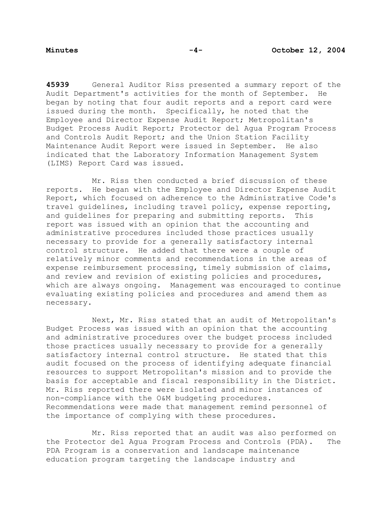**45939** General Auditor Riss presented a summary report of the Audit Department's activities for the month of September. He began by noting that four audit reports and a report card were issued during the month. Specifically, he noted that the Employee and Director Expense Audit Report; Metropolitan's Budget Process Audit Report; Protector del Agua Program Process and Controls Audit Report; and the Union Station Facility Maintenance Audit Report were issued in September. He also indicated that the Laboratory Information Management System (LIMS) Report Card was issued.

 Mr. Riss then conducted a brief discussion of these reports. He began with the Employee and Director Expense Audit Report, which focused on adherence to the Administrative Code's travel guidelines, including travel policy, expense reporting, and guidelines for preparing and submitting reports. This report was issued with an opinion that the accounting and administrative procedures included those practices usually necessary to provide for a generally satisfactory internal control structure. He added that there were a couple of relatively minor comments and recommendations in the areas of expense reimbursement processing, timely submission of claims, and review and revision of existing policies and procedures, which are always ongoing. Management was encouraged to continue evaluating existing policies and procedures and amend them as necessary.

 Next, Mr. Riss stated that an audit of Metropolitan's Budget Process was issued with an opinion that the accounting and administrative procedures over the budget process included those practices usually necessary to provide for a generally satisfactory internal control structure. He stated that this audit focused on the process of identifying adequate financial resources to support Metropolitan's mission and to provide the basis for acceptable and fiscal responsibility in the District. Mr. Riss reported there were isolated and minor instances of non-compliance with the O&M budgeting procedures. Recommendations were made that management remind personnel of the importance of complying with these procedures.

 Mr. Riss reported that an audit was also performed on the Protector del Agua Program Process and Controls (PDA). The PDA Program is a conservation and landscape maintenance education program targeting the landscape industry and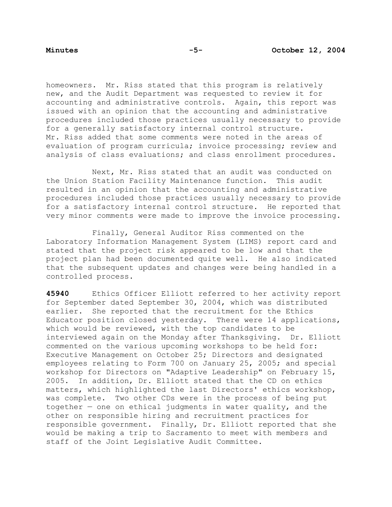homeowners. Mr. Riss stated that this program is relatively new, and the Audit Department was requested to review it for accounting and administrative controls. Again, this report was issued with an opinion that the accounting and administrative procedures included those practices usually necessary to provide for a generally satisfactory internal control structure. Mr. Riss added that some comments were noted in the areas of evaluation of program curricula; invoice processing; review and analysis of class evaluations; and class enrollment procedures.

 Next, Mr. Riss stated that an audit was conducted on the Union Station Facility Maintenance function. This audit resulted in an opinion that the accounting and administrative procedures included those practices usually necessary to provide for a satisfactory internal control structure. He reported that very minor comments were made to improve the invoice processing.

 Finally, General Auditor Riss commented on the Laboratory Information Management System (LIMS) report card and stated that the project risk appeared to be low and that the project plan had been documented quite well. He also indicated that the subsequent updates and changes were being handled in a controlled process.

**45940** Ethics Officer Elliott referred to her activity report for September dated September 30, 2004, which was distributed earlier. She reported that the recruitment for the Ethics Educator position closed yesterday. There were 14 applications, which would be reviewed, with the top candidates to be interviewed again on the Monday after Thanksgiving. Dr. Elliott commented on the various upcoming workshops to be held for: Executive Management on October 25; Directors and designated employees relating to Form 700 on January 25, 2005; and special workshop for Directors on "Adaptive Leadership" on February 15, 2005. In addition, Dr. Elliott stated that the CD on ethics matters, which highlighted the last Directors' ethics workshop, was complete. Two other CDs were in the process of being put together — one on ethical judgments in water quality, and the other on responsible hiring and recruitment practices for responsible government. Finally, Dr. Elliott reported that she would be making a trip to Sacramento to meet with members and staff of the Joint Legislative Audit Committee.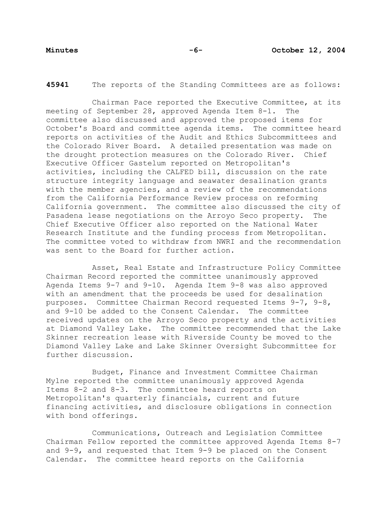**45941** The reports of the Standing Committees are as follows:

Chairman Pace reported the Executive Committee, at its meeting of September 28, approved Agenda Item 8-1. The committee also discussed and approved the proposed items for October's Board and committee agenda items. The committee heard reports on activities of the Audit and Ethics Subcommittees and the Colorado River Board. A detailed presentation was made on the drought protection measures on the Colorado River. Chief Executive Officer Gastelum reported on Metropolitan's activities, including the CALFED bill, discussion on the rate structure integrity language and seawater desalination grants with the member agencies, and a review of the recommendations from the California Performance Review process on reforming California government. The committee also discussed the city of Pasadena lease negotiations on the Arroyo Seco property. The Chief Executive Officer also reported on the National Water Research Institute and the funding process from Metropolitan. The committee voted to withdraw from NWRI and the recommendation was sent to the Board for further action.

 Asset, Real Estate and Infrastructure Policy Committee Chairman Record reported the committee unanimously approved Agenda Items 9-7 and 9-10. Agenda Item 9-8 was also approved with an amendment that the proceeds be used for desalination purposes. Committee Chairman Record requested Items 9-7, 9-8, and 9-10 be added to the Consent Calendar. The committee received updates on the Arroyo Seco property and the activities at Diamond Valley Lake. The committee recommended that the Lake Skinner recreation lease with Riverside County be moved to the Diamond Valley Lake and Lake Skinner Oversight Subcommittee for further discussion.

 Budget, Finance and Investment Committee Chairman Mylne reported the committee unanimously approved Agenda Items 8-2 and 8-3. The committee heard reports on Metropolitan's quarterly financials, current and future financing activities, and disclosure obligations in connection with bond offerings.

Communications, Outreach and Legislation Committee Chairman Fellow reported the committee approved Agenda Items 8-7 and 9-9, and requested that Item 9-9 be placed on the Consent Calendar. The committee heard reports on the California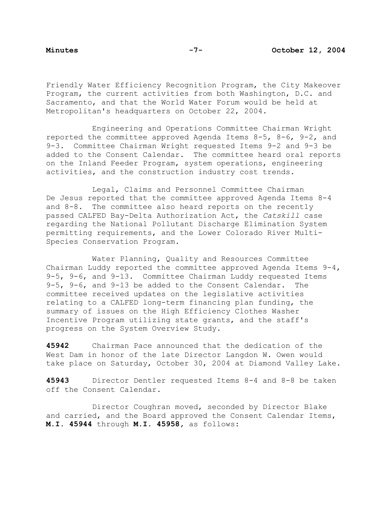Friendly Water Efficiency Recognition Program, the City Makeover Program, the current activities from both Washington, D.C. and Sacramento, and that the World Water Forum would be held at Metropolitan's headquarters on October 22, 2004.

 Engineering and Operations Committee Chairman Wright reported the committee approved Agenda Items 8-5, 8-6, 9-2, and 9-3. Committee Chairman Wright requested Items 9-2 and 9-3 be added to the Consent Calendar. The committee heard oral reports on the Inland Feeder Program, system operations, engineering activities, and the construction industry cost trends.

 Legal, Claims and Personnel Committee Chairman De Jesus reported that the committee approved Agenda Items 8-4 and 8-8. The committee also heard reports on the recently passed CALFED Bay-Delta Authorization Act, the *Catskill* case regarding the National Pollutant Discharge Elimination System permitting requirements, and the Lower Colorado River Multi-Species Conservation Program.

 Water Planning, Quality and Resources Committee Chairman Luddy reported the committee approved Agenda Items 9-4, 9-5, 9-6, and 9-13. Committee Chairman Luddy requested Items 9-5, 9-6, and 9-13 be added to the Consent Calendar. The committee received updates on the legislative activities relating to a CALFED long-term financing plan funding, the summary of issues on the High Efficiency Clothes Washer Incentive Program utilizing state grants, and the staff's progress on the System Overview Study.

**45942** Chairman Pace announced that the dedication of the West Dam in honor of the late Director Langdon W. Owen would take place on Saturday, October 30, 2004 at Diamond Valley Lake.

**45943** Director Dentler requested Items 8-4 and 8-8 be taken off the Consent Calendar.

 Director Coughran moved, seconded by Director Blake and carried, and the Board approved the Consent Calendar Items, **M.I. 45944** through **M.I. 45958,** as follows: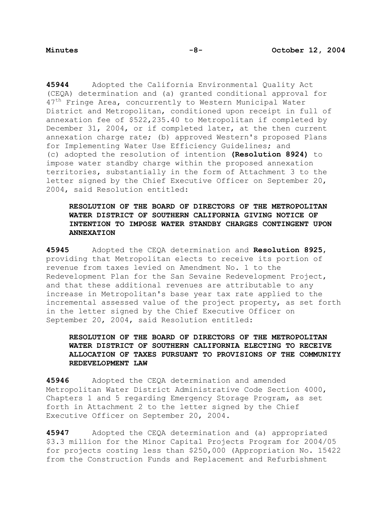**45944** Adopted the California Environmental Quality Act (CEQA) determination and (a) granted conditional approval for 47<sup>th</sup> Fringe Area, concurrently to Western Municipal Water District and Metropolitan, conditioned upon receipt in full of annexation fee of \$522,235.40 to Metropolitan if completed by December 31, 2004, or if completed later, at the then current annexation charge rate; (b) approved Western's proposed Plans for Implementing Water Use Efficiency Guidelines; and (c) adopted the resolution of intention **(Resolution 8924)** to impose water standby charge within the proposed annexation territories, substantially in the form of Attachment 3 to the letter signed by the Chief Executive Officer on September 20, 2004, said Resolution entitled:

## **RESOLUTION OF THE BOARD OF DIRECTORS OF THE METROPOLITAN WATER DISTRICT OF SOUTHERN CALIFORNIA GIVING NOTICE OF INTENTION TO IMPOSE WATER STANDBY CHARGES CONTINGENT UPON ANNEXATION**

**45945** Adopted the CEQA determination and **Resolution 8925**, providing that Metropolitan elects to receive its portion of revenue from taxes levied on Amendment No. 1 to the Redevelopment Plan for the San Sevaine Redevelopment Project, and that these additional revenues are attributable to any increase in Metropolitan's base year tax rate applied to the incremental assessed value of the project property, as set forth in the letter signed by the Chief Executive Officer on September 20, 2004, said Resolution entitled:

# **RESOLUTION OF THE BOARD OF DIRECTORS OF THE METROPOLITAN WATER DISTRICT OF SOUTHERN CALIFORNIA ELECTING TO RECEIVE ALLOCATION OF TAXES PURSUANT TO PROVISIONS OF THE COMMUNITY REDEVELOPMENT LAW**

**45946** Adopted the CEQA determination and amended Metropolitan Water District Administrative Code Section 4000, Chapters 1 and 5 regarding Emergency Storage Program, as set forth in Attachment 2 to the letter signed by the Chief Executive Officer on September 20, 2004.

**45947** Adopted the CEQA determination and (a) appropriated \$3.3 million for the Minor Capital Projects Program for 2004/05 for projects costing less than \$250,000 (Appropriation No. 15422 from the Construction Funds and Replacement and Refurbishment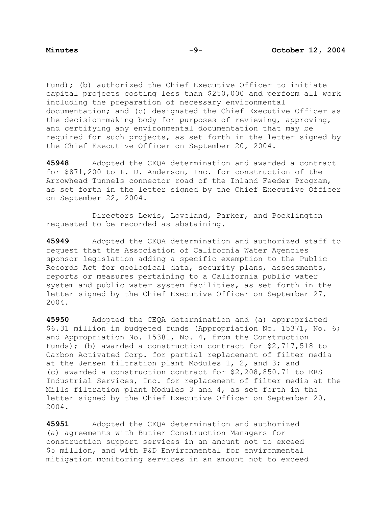Fund); (b) authorized the Chief Executive Officer to initiate capital projects costing less than \$250,000 and perform all work including the preparation of necessary environmental documentation; and (c) designated the Chief Executive Officer as the decision-making body for purposes of reviewing, approving, and certifying any environmental documentation that may be required for such projects, as set forth in the letter signed by the Chief Executive Officer on September 20, 2004.

**45948** Adopted the CEQA determination and awarded a contract for \$871,200 to L. D. Anderson, Inc. for construction of the Arrowhead Tunnels connector road of the Inland Feeder Program, as set forth in the letter signed by the Chief Executive Officer on September 22, 2004.

 Directors Lewis, Loveland, Parker, and Pocklington requested to be recorded as abstaining.

**45949** Adopted the CEQA determination and authorized staff to request that the Association of California Water Agencies sponsor legislation adding a specific exemption to the Public Records Act for geological data, security plans, assessments, reports or measures pertaining to a California public water system and public water system facilities, as set forth in the letter signed by the Chief Executive Officer on September 27, 2004.

**45950** Adopted the CEQA determination and (a) appropriated \$6.31 million in budgeted funds (Appropriation No. 15371, No. 6; and Appropriation No. 15381, No. 4, from the Construction Funds); (b) awarded a construction contract for \$2,717,518 to Carbon Activated Corp. for partial replacement of filter media at the Jensen filtration plant Modules 1, 2, and 3; and (c) awarded a construction contract for \$2,208,850.71 to ERS Industrial Services, Inc. for replacement of filter media at the Mills filtration plant Modules 3 and 4, as set forth in the letter signed by the Chief Executive Officer on September 20, 2004.

**45951** Adopted the CEQA determination and authorized (a) agreements with Butier Construction Managers for construction support services in an amount not to exceed \$5 million, and with P&D Environmental for environmental mitigation monitoring services in an amount not to exceed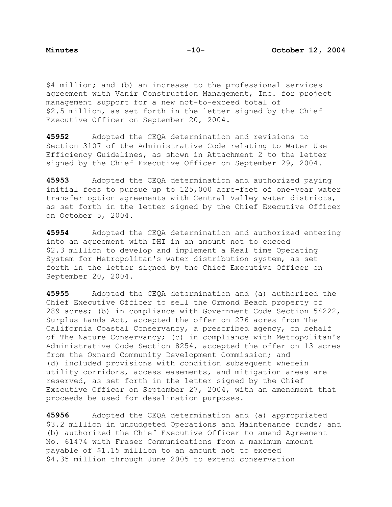\$4 million; and (b) an increase to the professional services agreement with Vanir Construction Management, Inc. for project management support for a new not-to-exceed total of \$2.5 million, as set forth in the letter signed by the Chief Executive Officer on September 20, 2004.

**45952** Adopted the CEQA determination and revisions to Section 3107 of the Administrative Code relating to Water Use Efficiency Guidelines, as shown in Attachment 2 to the letter signed by the Chief Executive Officer on September 29, 2004.

**45953** Adopted the CEQA determination and authorized paying initial fees to pursue up to 125,000 acre-feet of one-year water transfer option agreements with Central Valley water districts, as set forth in the letter signed by the Chief Executive Officer on October 5, 2004.

**45954** Adopted the CEQA determination and authorized entering into an agreement with DHI in an amount not to exceed \$2.3 million to develop and implement a Real time Operating System for Metropolitan's water distribution system, as set forth in the letter signed by the Chief Executive Officer on September 20, 2004.

**45955** Adopted the CEQA determination and (a) authorized the Chief Executive Officer to sell the Ormond Beach property of 289 acres; (b) in compliance with Government Code Section 54222, Surplus Lands Act, accepted the offer on 276 acres from The California Coastal Conservancy, a prescribed agency, on behalf of The Nature Conservancy; (c) in compliance with Metropolitan's Administrative Code Section 8254, accepted the offer on 13 acres from the Oxnard Community Development Commission; and (d) included provisions with condition subsequent wherein utility corridors, access easements, and mitigation areas are reserved, as set forth in the letter signed by the Chief Executive Officer on September 27, 2004, with an amendment that proceeds be used for desalination purposes.

**45956** Adopted the CEQA determination and (a) appropriated \$3.2 million in unbudgeted Operations and Maintenance funds; and (b) authorized the Chief Executive Officer to amend Agreement No. 61474 with Fraser Communications from a maximum amount payable of \$1.15 million to an amount not to exceed \$4.35 million through June 2005 to extend conservation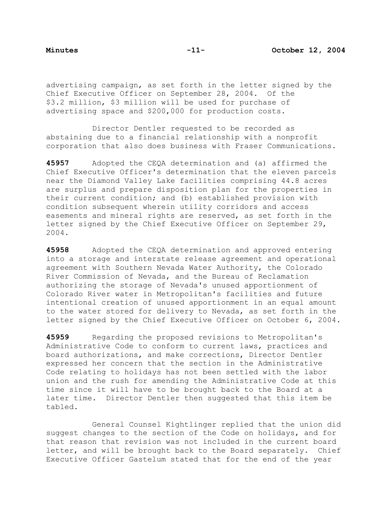advertising campaign, as set forth in the letter signed by the Chief Executive Officer on September 28, 2004. Of the \$3.2 million, \$3 million will be used for purchase of advertising space and \$200,000 for production costs.

 Director Dentler requested to be recorded as abstaining due to a financial relationship with a nonprofit corporation that also does business with Fraser Communications.

**45957** Adopted the CEQA determination and (a) affirmed the Chief Executive Officer's determination that the eleven parcels near the Diamond Valley Lake facilities comprising 44.8 acres are surplus and prepare disposition plan for the properties in their current condition; and (b) established provision with condition subsequent wherein utility corridors and access easements and mineral rights are reserved, as set forth in the letter signed by the Chief Executive Officer on September 29, 2004.

**45958** Adopted the CEQA determination and approved entering into a storage and interstate release agreement and operational agreement with Southern Nevada Water Authority, the Colorado River Commission of Nevada, and the Bureau of Reclamation authorizing the storage of Nevada's unused apportionment of Colorado River water in Metropolitan's facilities and future intentional creation of unused apportionment in an equal amount to the water stored for delivery to Nevada, as set forth in the letter signed by the Chief Executive Officer on October 6, 2004.

**45959** Regarding the proposed revisions to Metropolitan's Administrative Code to conform to current laws, practices and board authorizations, and make corrections, Director Dentler expressed her concern that the section in the Administrative Code relating to holidays has not been settled with the labor union and the rush for amending the Administrative Code at this time since it will have to be brought back to the Board at a later time. Director Dentler then suggested that this item be tabled.

 General Counsel Kightlinger replied that the union did suggest changes to the section of the Code on holidays, and for that reason that revision was not included in the current board letter, and will be brought back to the Board separately. Chief Executive Officer Gastelum stated that for the end of the year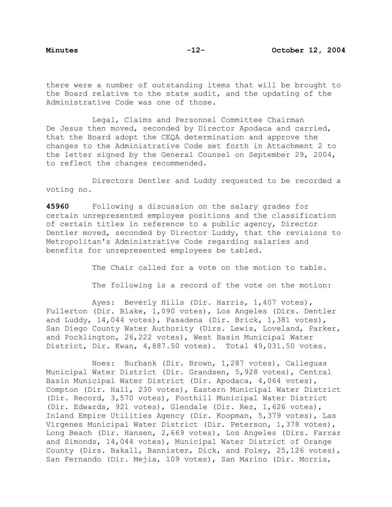there were a number of outstanding items that will be brought to the Board relative to the state audit, and the updating of the Administrative Code was one of those.

 Legal, Claims and Personnel Committee Chairman De Jesus then moved, seconded by Director Apodaca and carried, that the Board adopt the CEQA determination and approve the changes to the Administrative Code set forth in Attachment 2 to the letter signed by the General Counsel on September 29, 2004, to reflect the changes recommended.

 Directors Dentler and Luddy requested to be recorded a voting no.

**45960** Following a discussion on the salary grades for certain unrepresented employee positions and the classification of certain titles in reference to a public agency, Director Dentler moved, seconded by Director Luddy, that the revisions to Metropolitan's Administrative Code regarding salaries and benefits for unrepresented employees be tabled.

The Chair called for a vote on the motion to table.

The following is a record of the vote on the motion:

 Ayes: Beverly Hills (Dir. Harris, 1,407 votes), Fullerton (Dir. Blake, 1,090 votes), Los Angeles (Dirs. Dentler and Luddy, 14,044 votes), Pasadena (Dir. Brick, 1,381 votes), San Diego County Water Authority (Dirs. Lewis, Loveland, Parker, and Pocklington, 26,222 votes), West Basin Municipal Water District, Dir. Kwan, 4,887.50 votes). Total 49,031.50 votes.

 Noes: Burbank (Dir. Brown, 1,287 votes), Calleguas Municipal Water District (Dir. Grandsen, 5,928 votes), Central Basin Municipal Water District (Dir. Apodaca, 4,064 votes), Compton (Dir. Hall, 230 votes), Eastern Municipal Water District (Dir. Record, 3,570 votes), Foothill Municipal Water District (Dir. Edwards, 921 votes), Glendale (Dir. Rez, 1,626 votes), Inland Empire Utilities Agency (Dir. Koopman, 5,379 votes), Las Virgenes Municipal Water District (Dir. Peterson, 1,378 votes), Long Beach (Dir. Hansen, 2,669 votes), Los Angeles (Dirs. Farrar and Simonds, 14,044 votes), Municipal Water District of Orange County (Dirs. Bakall, Bannister, Dick, and Foley, 25,126 votes), San Fernando (Dir. Mejia, 109 votes), San Marino (Dir. Morris,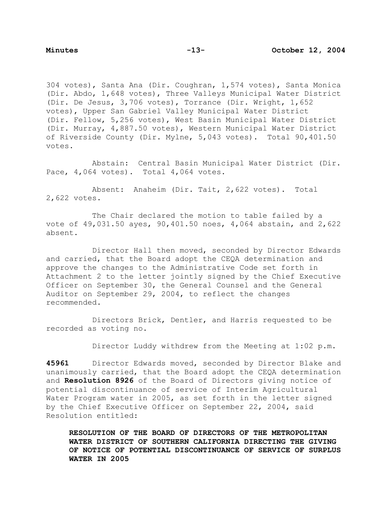304 votes), Santa Ana (Dir. Coughran, 1,574 votes), Santa Monica (Dir. Abdo, 1,648 votes), Three Valleys Municipal Water District (Dir. De Jesus, 3,706 votes), Torrance (Dir. Wright, 1,652 votes), Upper San Gabriel Valley Municipal Water District (Dir. Fellow, 5,256 votes), West Basin Municipal Water District (Dir. Murray, 4,887.50 votes), Western Municipal Water District of Riverside County (Dir. Mylne, 5,043 votes). Total 90,401.50 votes.

 Abstain: Central Basin Municipal Water District (Dir. Pace, 4,064 votes). Total 4,064 votes.

 Absent: Anaheim (Dir. Tait, 2,622 votes). Total 2,622 votes.

 The Chair declared the motion to table failed by a vote of 49,031.50 ayes, 90,401.50 noes, 4,064 abstain, and 2,622 absent.

 Director Hall then moved, seconded by Director Edwards and carried, that the Board adopt the CEQA determination and approve the changes to the Administrative Code set forth in Attachment 2 to the letter jointly signed by the Chief Executive Officer on September 30, the General Counsel and the General Auditor on September 29, 2004, to reflect the changes recommended.

 Directors Brick, Dentler, and Harris requested to be recorded as voting no.

Director Luddy withdrew from the Meeting at 1:02 p.m.

**45961** Director Edwards moved, seconded by Director Blake and unanimously carried, that the Board adopt the CEQA determination and **Resolution 8926** of the Board of Directors giving notice of potential discontinuance of service of Interim Agricultural Water Program water in 2005, as set forth in the letter signed by the Chief Executive Officer on September 22, 2004, said Resolution entitled:

**RESOLUTION OF THE BOARD OF DIRECTORS OF THE METROPOLITAN WATER DISTRICT OF SOUTHERN CALIFORNIA DIRECTING THE GIVING OF NOTICE OF POTENTIAL DISCONTINUANCE OF SERVICE OF SURPLUS WATER IN 2005**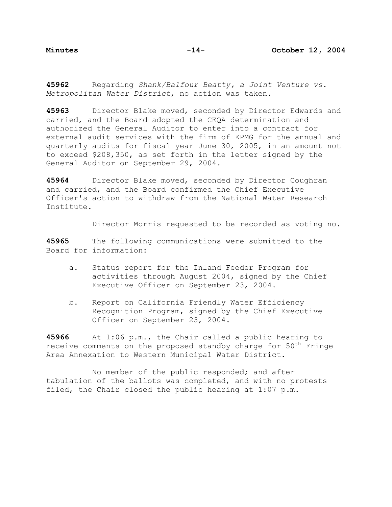**45962** Regarding *Shank/Balfour Beatty, a Joint Venture vs. Metropolitan Water District*, no action was taken.

**45963** Director Blake moved, seconded by Director Edwards and carried, and the Board adopted the CEQA determination and authorized the General Auditor to enter into a contract for external audit services with the firm of KPMG for the annual and quarterly audits for fiscal year June 30, 2005, in an amount not to exceed \$208,350, as set forth in the letter signed by the General Auditor on September 29, 2004.

**45964** Director Blake moved, seconded by Director Coughran and carried, and the Board confirmed the Chief Executive Officer's action to withdraw from the National Water Research Institute.

Director Morris requested to be recorded as voting no.

**45965** The following communications were submitted to the Board for information:

- a. Status report for the Inland Feeder Program for activities through August 2004, signed by the Chief Executive Officer on September 23, 2004.
- b. Report on California Friendly Water Efficiency Recognition Program, signed by the Chief Executive Officer on September 23, 2004.

**45966** At 1:06 p.m., the Chair called a public hearing to receive comments on the proposed standby charge for 50<sup>th</sup> Fringe Area Annexation to Western Municipal Water District.

 No member of the public responded; and after tabulation of the ballots was completed, and with no protests filed, the Chair closed the public hearing at 1:07 p.m.